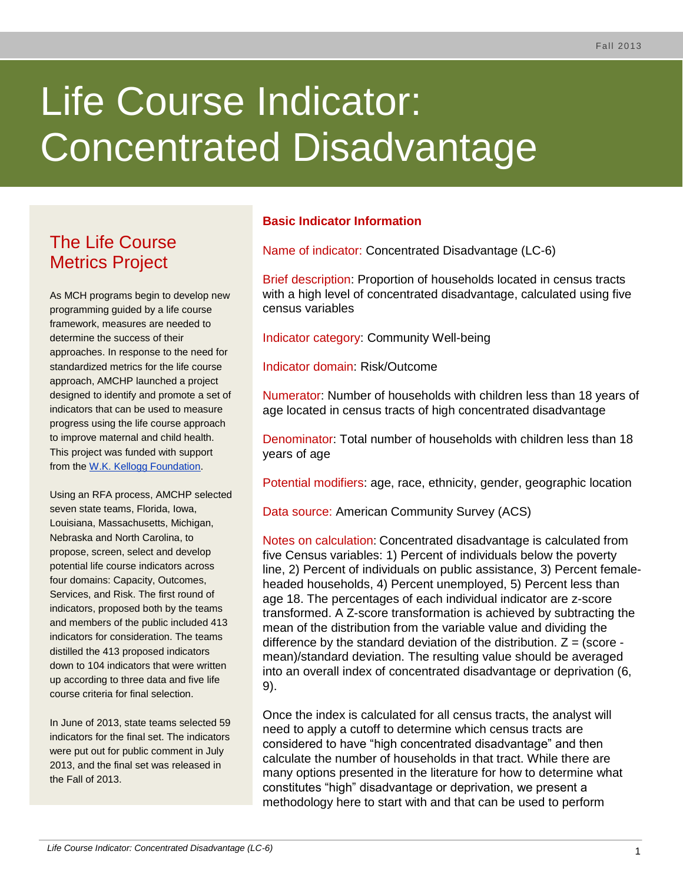# Life Course Indicator: Concentrated Disadvantage

# The Life Course Metrics Project

As MCH programs begin to develop new programming guided by a life course framework, measures are needed to determine the success of their approaches. In response to the need for standardized metrics for the life course approach, AMCHP launched a project designed to identify and promote a set of indicators that can be used to measure progress using the life course approach to improve maternal and child health. This project was funded with support from the [W.K. Kellogg Foundation.](http://www.wkkf.org/)

Using an RFA process, AMCHP selected seven state teams, Florida, Iowa, Louisiana, Massachusetts, Michigan, Nebraska and North Carolina, to propose, screen, select and develop potential life course indicators across four domains: Capacity, Outcomes, Services, and Risk. The first round of indicators, proposed both by the teams and members of the public included 413 indicators for consideration. The teams distilled the 413 proposed indicators down to 104 indicators that were written up according to three data and five life course criteria for final selection.

In June of 2013, state teams selected 59 indicators for the final set. The indicators were put out for public comment in July 2013, and the final set was released in the Fall of 2013.

# **Basic Indicator Information**

Name of indicator: Concentrated Disadvantage (LC-6)

Brief description: Proportion of households located in census tracts with a high level of concentrated disadvantage, calculated using five census variables

Indicator category: Community Well-being

Indicator domain: Risk/Outcome

Numerator: Number of households with children less than 18 years of age located in census tracts of high concentrated disadvantage

Denominator: Total number of households with children less than 18 years of age

Potential modifiers: age, race, ethnicity, gender, geographic location

Data source: American Community Survey (ACS)

Notes on calculation: Concentrated disadvantage is calculated from five Census variables: 1) Percent of individuals below the poverty line, 2) Percent of individuals on public assistance, 3) Percent femaleheaded households, 4) Percent unemployed, 5) Percent less than age 18. The percentages of each individual indicator are z-score transformed. A Z-score transformation is achieved by subtracting the mean of the distribution from the variable value and dividing the difference by the standard deviation of the distribution.  $Z = (score$ mean)/standard deviation. The resulting value should be averaged into an overall index of concentrated disadvantage or deprivation (6, 9).

Once the index is calculated for all census tracts, the analyst will need to apply a cutoff to determine which census tracts are considered to have "high concentrated disadvantage" and then calculate the number of households in that tract. While there are many options presented in the literature for how to determine what constitutes "high" disadvantage or deprivation, we present a methodology here to start with and that can be used to perform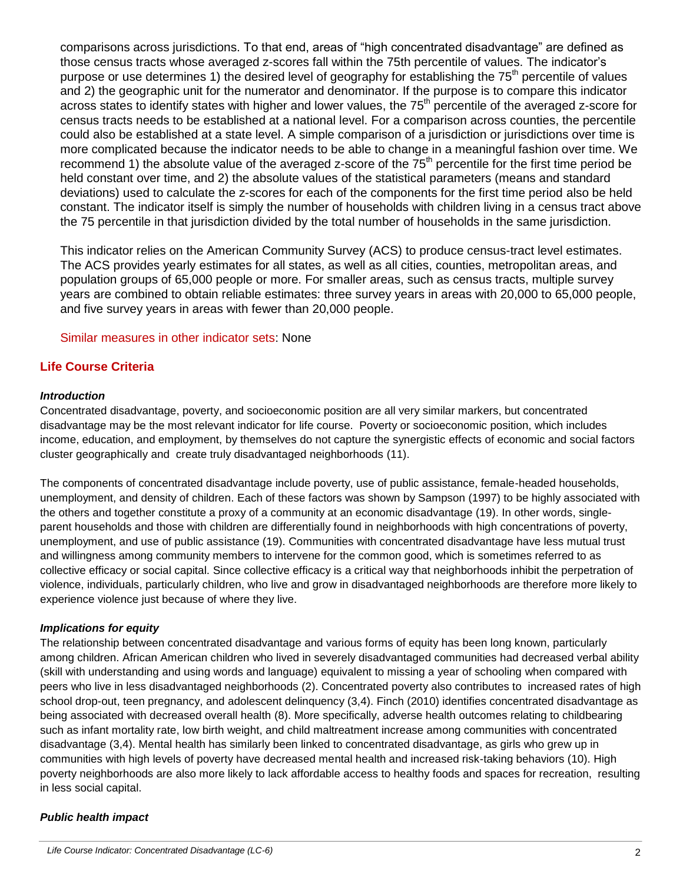comparisons across jurisdictions. To that end, areas of "high concentrated disadvantage" are defined as those census tracts whose averaged z-scores fall within the 75th percentile of values. The indicator's purpose or use determines 1) the desired level of geography for establishing the 75<sup>th</sup> percentile of values and 2) the geographic unit for the numerator and denominator. If the purpose is to compare this indicator across states to identify states with higher and lower values, the 75<sup>th</sup> percentile of the averaged z-score for census tracts needs to be established at a national level. For a comparison across counties, the percentile could also be established at a state level. A simple comparison of a jurisdiction or jurisdictions over time is more complicated because the indicator needs to be able to change in a meaningful fashion over time. We recommend 1) the absolute value of the averaged z-score of the 75<sup>th</sup> percentile for the first time period be held constant over time, and 2) the absolute values of the statistical parameters (means and standard deviations) used to calculate the z-scores for each of the components for the first time period also be held constant. The indicator itself is simply the number of households with children living in a census tract above the 75 percentile in that jurisdiction divided by the total number of households in the same jurisdiction.

This indicator relies on the American Community Survey (ACS) to produce census-tract level estimates. The ACS provides yearly estimates for all states, as well as all cities, counties, metropolitan areas, and population groups of 65,000 people or more. For smaller areas, such as census tracts, multiple survey years are combined to obtain reliable estimates: three survey years in areas with 20,000 to 65,000 people, and five survey years in areas with fewer than 20,000 people.

#### Similar measures in other indicator sets: None

# **Life Course Criteria**

#### *Introduction*

Concentrated disadvantage, poverty, and socioeconomic position are all very similar markers, but concentrated disadvantage may be the most relevant indicator for life course. Poverty or socioeconomic position, which includes income, education, and employment, by themselves do not capture the synergistic effects of economic and social factors cluster geographically and create truly disadvantaged neighborhoods (11).

The components of concentrated disadvantage include poverty, use of public assistance, female-headed households, unemployment, and density of children. Each of these factors was shown by Sampson (1997) to be highly associated with the others and together constitute a proxy of a community at an economic disadvantage (19). In other words, singleparent households and those with children are differentially found in neighborhoods with high concentrations of poverty, unemployment, and use of public assistance (19). Communities with concentrated disadvantage have less mutual trust and willingness among community members to intervene for the common good, which is sometimes referred to as collective efficacy or social capital. Since collective efficacy is a critical way that neighborhoods inhibit the perpetration of violence, individuals, particularly children, who live and grow in disadvantaged neighborhoods are therefore more likely to experience violence just because of where they live.

#### *Implications for equity*

The relationship between concentrated disadvantage and various forms of equity has been long known, particularly among children. African American children who lived in severely disadvantaged communities had decreased verbal ability (skill with understanding and using words and language) equivalent to missing a year of schooling when compared with peers who live in less disadvantaged neighborhoods (2). Concentrated poverty also contributes to increased rates of high school drop-out, teen pregnancy, and adolescent delinquency (3,4). Finch (2010) identifies concentrated disadvantage as being associated with decreased overall health (8). More specifically, adverse health outcomes relating to childbearing such as infant mortality rate, low birth weight, and child maltreatment increase among communities with concentrated disadvantage (3,4). Mental health has similarly been linked to concentrated disadvantage, as girls who grew up in communities with high levels of poverty have decreased mental health and increased risk-taking behaviors (10). High poverty neighborhoods are also more likely to lack affordable access to healthy foods and spaces for recreation, resulting in less social capital.

#### *Public health impact*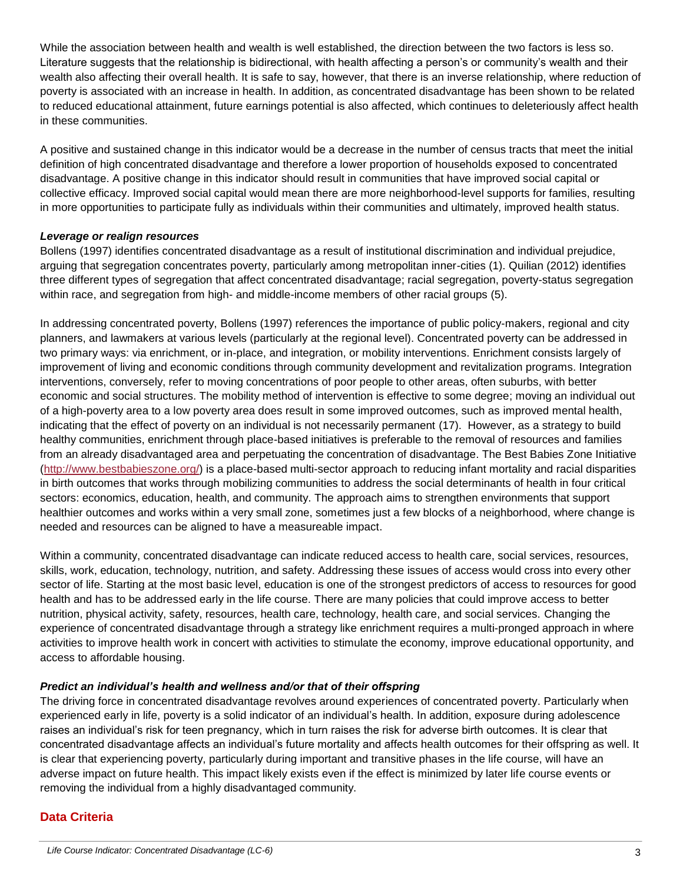While the association between health and wealth is well established, the direction between the two factors is less so. Literature suggests that the relationship is bidirectional, with health affecting a person's or community's wealth and their wealth also affecting their overall health. It is safe to say, however, that there is an inverse relationship, where reduction of poverty is associated with an increase in health. In addition, as concentrated disadvantage has been shown to be related to reduced educational attainment, future earnings potential is also affected, which continues to deleteriously affect health in these communities.

A positive and sustained change in this indicator would be a decrease in the number of census tracts that meet the initial definition of high concentrated disadvantage and therefore a lower proportion of households exposed to concentrated disadvantage. A positive change in this indicator should result in communities that have improved social capital or collective efficacy. Improved social capital would mean there are more neighborhood-level supports for families, resulting in more opportunities to participate fully as individuals within their communities and ultimately, improved health status.

#### *Leverage or realign resources*

Bollens (1997) identifies concentrated disadvantage as a result of institutional discrimination and individual prejudice, arguing that segregation concentrates poverty, particularly among metropolitan inner-cities (1). Quilian (2012) identifies three different types of segregation that affect concentrated disadvantage; racial segregation, poverty-status segregation within race, and segregation from high- and middle-income members of other racial groups (5).

In addressing concentrated poverty, Bollens (1997) references the importance of public policy-makers, regional and city planners, and lawmakers at various levels (particularly at the regional level). Concentrated poverty can be addressed in two primary ways: via enrichment, or in-place, and integration, or mobility interventions. Enrichment consists largely of improvement of living and economic conditions through community development and revitalization programs. Integration interventions, conversely, refer to moving concentrations of poor people to other areas, often suburbs, with better economic and social structures. The mobility method of intervention is effective to some degree; moving an individual out of a high-poverty area to a low poverty area does result in some improved outcomes, such as improved mental health, indicating that the effect of poverty on an individual is not necessarily permanent (17). However, as a strategy to build healthy communities, enrichment through place-based initiatives is preferable to the removal of resources and families from an already disadvantaged area and perpetuating the concentration of disadvantage. The Best Babies Zone Initiative [\(http://www.bestbabieszone.org/\)](http://www.bestbabieszone.org/) is a place-based multi-sector approach to reducing infant mortality and racial disparities in birth outcomes that works through mobilizing communities to address the social determinants of health in four critical sectors: economics, education, health, and community. The approach aims to strengthen environments that support healthier outcomes and works within a very small zone, sometimes just a few blocks of a neighborhood, where change is needed and resources can be aligned to have a measureable impact.

Within a community, concentrated disadvantage can indicate reduced access to health care, social services, resources, skills, work, education, technology, nutrition, and safety. Addressing these issues of access would cross into every other sector of life. Starting at the most basic level, education is one of the strongest predictors of access to resources for good health and has to be addressed early in the life course. There are many policies that could improve access to better nutrition, physical activity, safety, resources, health care, technology, health care, and social services. Changing the experience of concentrated disadvantage through a strategy like enrichment requires a multi-pronged approach in where activities to improve health work in concert with activities to stimulate the economy, improve educational opportunity, and access to affordable housing.

# *Predict an individual's health and wellness and/or that of their offspring*

The driving force in concentrated disadvantage revolves around experiences of concentrated poverty. Particularly when experienced early in life, poverty is a solid indicator of an individual's health. In addition, exposure during adolescence raises an individual's risk for teen pregnancy, which in turn raises the risk for adverse birth outcomes. It is clear that concentrated disadvantage affects an individual's future mortality and affects health outcomes for their offspring as well. It is clear that experiencing poverty, particularly during important and transitive phases in the life course, will have an adverse impact on future health. This impact likely exists even if the effect is minimized by later life course events or removing the individual from a highly disadvantaged community.

# **Data Criteria**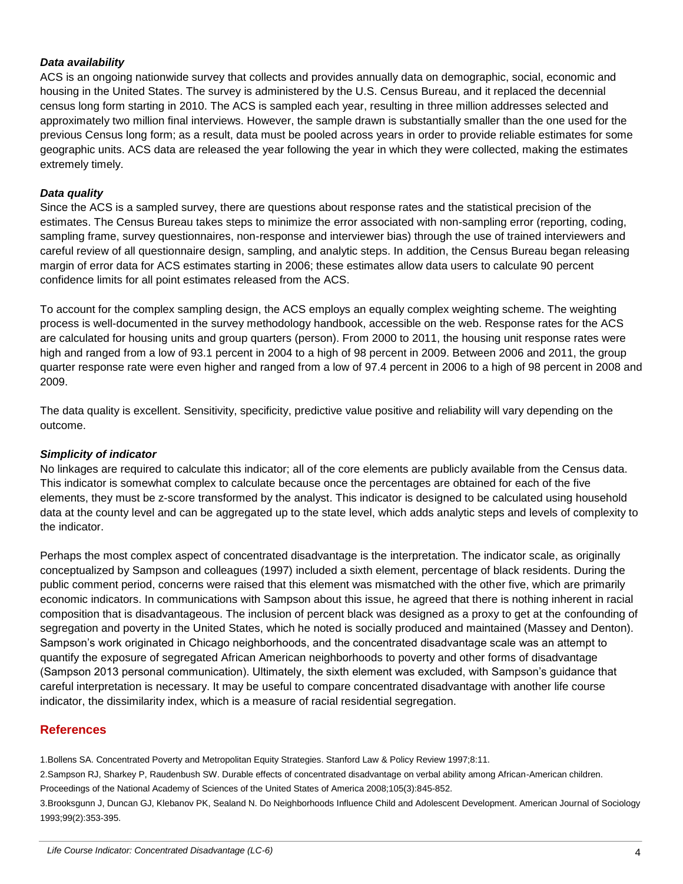#### *Data availability*

ACS is an ongoing nationwide survey that collects and provides annually data on demographic, social, economic and housing in the United States. The survey is administered by the U.S. Census Bureau, and it replaced the decennial census long form starting in 2010. The ACS is sampled each year, resulting in three million addresses selected and approximately two million final interviews. However, the sample drawn is substantially smaller than the one used for the previous Census long form; as a result, data must be pooled across years in order to provide reliable estimates for some geographic units. ACS data are released the year following the year in which they were collected, making the estimates extremely timely.

#### *Data quality*

Since the ACS is a sampled survey, there are questions about response rates and the statistical precision of the estimates. The Census Bureau takes steps to minimize the error associated with non-sampling error (reporting, coding, sampling frame, survey questionnaires, non-response and interviewer bias) through the use of trained interviewers and careful review of all questionnaire design, sampling, and analytic steps. In addition, the Census Bureau began releasing margin of error data for ACS estimates starting in 2006; these estimates allow data users to calculate 90 percent confidence limits for all point estimates released from the ACS.

To account for the complex sampling design, the ACS employs an equally complex weighting scheme. The weighting process is well-documented in the survey methodology handbook, accessible on the web. Response rates for the ACS are calculated for housing units and group quarters (person). From 2000 to 2011, the housing unit response rates were high and ranged from a low of 93.1 percent in 2004 to a high of 98 percent in 2009. Between 2006 and 2011, the group quarter response rate were even higher and ranged from a low of 97.4 percent in 2006 to a high of 98 percent in 2008 and 2009.

The data quality is excellent. Sensitivity, specificity, predictive value positive and reliability will vary depending on the outcome.

#### *Simplicity of indicator*

No linkages are required to calculate this indicator; all of the core elements are publicly available from the Census data. This indicator is somewhat complex to calculate because once the percentages are obtained for each of the five elements, they must be z-score transformed by the analyst. This indicator is designed to be calculated using household data at the county level and can be aggregated up to the state level, which adds analytic steps and levels of complexity to the indicator.

Perhaps the most complex aspect of concentrated disadvantage is the interpretation. The indicator scale, as originally conceptualized by Sampson and colleagues (1997) included a sixth element, percentage of black residents. During the public comment period, concerns were raised that this element was mismatched with the other five, which are primarily economic indicators. In communications with Sampson about this issue, he agreed that there is nothing inherent in racial composition that is disadvantageous. The inclusion of percent black was designed as a proxy to get at the confounding of segregation and poverty in the United States, which he noted is socially produced and maintained (Massey and Denton). Sampson's work originated in Chicago neighborhoods, and the concentrated disadvantage scale was an attempt to quantify the exposure of segregated African American neighborhoods to poverty and other forms of disadvantage (Sampson 2013 personal communication). Ultimately, the sixth element was excluded, with Sampson's guidance that careful interpretation is necessary. It may be useful to compare concentrated disadvantage with another life course indicator, the dissimilarity index, which is a measure of racial residential segregation.

# **References**

1.Bollens SA. Concentrated Poverty and Metropolitan Equity Strategies. Stanford Law & Policy Review 1997;8:11.

2.Sampson RJ, Sharkey P, Raudenbush SW. Durable effects of concentrated disadvantage on verbal ability among African-American children. Proceedings of the National Academy of Sciences of the United States of America 2008;105(3):845-852.

3.Brooksgunn J, Duncan GJ, Klebanov PK, Sealand N. Do Neighborhoods Influence Child and Adolescent Development. American Journal of Sociology 1993;99(2):353-395.